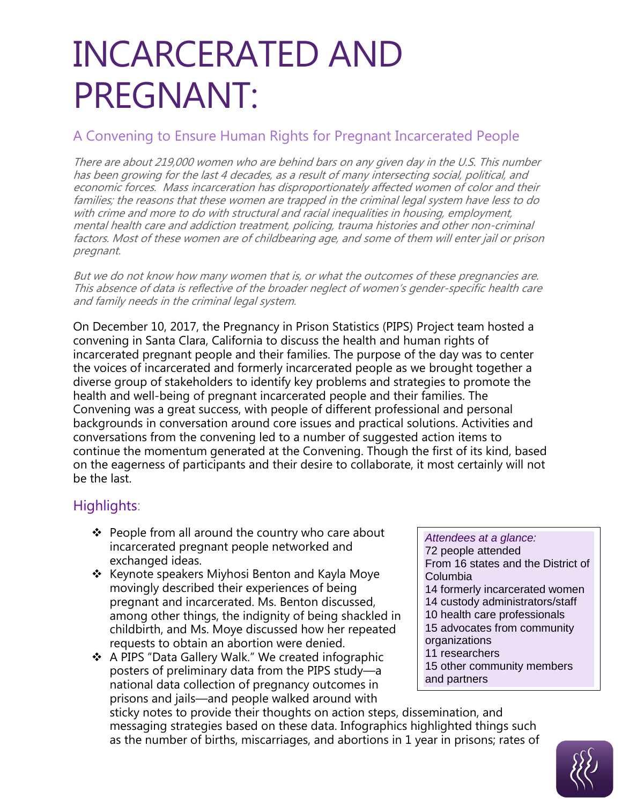# INCARCERATED AND PREGNANT:

#### A Convening to Ensure Human Rights for Pregnant Incarcerated People

There are about 219,000 women who are behind bars on any given day in the U.S. This number has been growing for the last 4 decades, as a result of many intersecting social, political, and economic forces. Mass incarceration has disproportionately affected women of color and their families; the reasons that these women are trapped in the criminal legal system have less to do with crime and more to do with structural and racial inequalities in housing, employment, mental health care and addiction treatment, policing, trauma histories and other non-criminal factors. Most of these women are of childbearing age, and some of them will enter jail or prison pregnant.

But we do not know how many women that is, or what the outcomes of these pregnancies are. This absence of data is reflective of the broader neglect of women's gender-specific health care and family needs in the criminal legal system.

On December 10, 2017, the Pregnancy in Prison Statistics (PIPS) Project team hosted a convening in Santa Clara, California to discuss the health and human rights of incarcerated pregnant people and their families. The purpose of the day was to center the voices of incarcerated and formerly incarcerated people as we brought together a diverse group of stakeholders to identify key problems and strategies to promote the health and well-being of pregnant incarcerated people and their families. The Convening was a great success, with people of different professional and personal backgrounds in conversation around core issues and practical solutions. Activities and conversations from the convening led to a number of suggested action items to continue the momentum generated at the Convening. Though the first of its kind, based on the eagerness of participants and their desire to collaborate, it most certainly will not be the last.

#### Highlights:

- $\cdot \cdot$  People from all around the country who care about incarcerated pregnant people networked and exchanged ideas.
- $\div$  Keynote speakers Miyhosi Benton and Kayla Moye movingly described their experiences of being pregnant and incarcerated. Ms. Benton discussed, among other things, the indignity of being shackled in childbirth, and Ms. Moye discussed how her repeated requests to obtain an abortion were denied.
- A PIPS "Data Gallery Walk." We created infographic posters of preliminary data from the PIPS study—a national data collection of pregnancy outcomes in prisons and jails—and people walked around with

*Attendees at a glance:* 72 people attended From 16 states and the District of Columbia 14 formerly incarcerated women 14 custody administrators/staff 10 health care professionals 15 advocates from community organizations 11 researchers 15 other community members and partners

sticky notes to provide their thoughts on action steps, dissemination, and messaging strategies based on these data. Infographics highlighted things such as the number of births, miscarriages, and abortions in 1 year in prisons; rates of

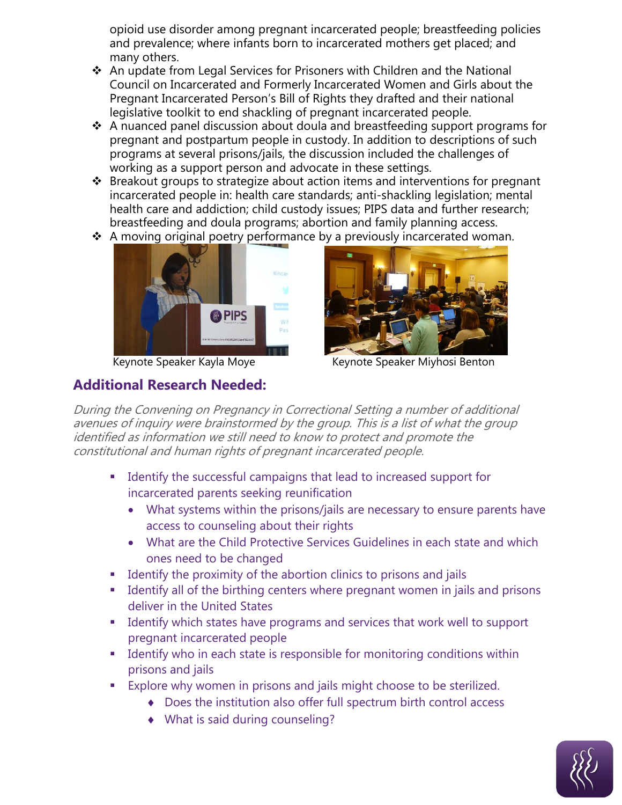opioid use disorder among pregnant incarcerated people; breastfeeding policies and prevalence; where infants born to incarcerated mothers get placed; and many others.

- An update from Legal Services for Prisoners with Children and the National Council on Incarcerated and Formerly Incarcerated Women and Girls about the Pregnant Incarcerated Person's Bill of Rights they drafted and their national legislative toolkit to end shackling of pregnant incarcerated people.
- $\cdot$  A nuanced panel discussion about doula and breastfeeding support programs for pregnant and postpartum people in custody. In addition to descriptions of such programs at several prisons/jails, the discussion included the challenges of working as a support person and advocate in these settings.
- Breakout groups to strategize about action items and interventions for pregnant incarcerated people in: health care standards; anti-shackling legislation; mental health care and addiction; child custody issues; PIPS data and further research; breastfeeding and doula programs; abortion and family planning access.
- $\cdot$  A moving original poetry performance by a previously incarcerated woman.



#### **Additional Research Needed:**



Keynote Speaker Kayla Moye Keynote Speaker Miyhosi Benton

During the Convening on Pregnancy in Correctional Setting a number of additional avenues of inquiry were brainstormed by the group. This is a list of what the group identified as information we still need to know to protect and promote the constitutional and human rights of pregnant incarcerated people.

- Identify the successful campaigns that lead to increased support for incarcerated parents seeking reunification
	- What systems within the prisons/jails are necessary to ensure parents have access to counseling about their rights
	- What are the Child Protective Services Guidelines in each state and which ones need to be changed
- **IDENTIFY IDENTIFY** Identify the virtum the abortion clinics to prisons and jails
- **IDENTIFY ALLO IS THE UP THE IDENTIFY IS NOTE I** I dentify all of the birthing centers where pregnant women in jails and prisons deliver in the United States
- **I** Identify which states have programs and services that work well to support pregnant incarcerated people
- **IDENTIFY 11** Identify who in each state is responsible for monitoring conditions within prisons and jails
- **Explore why women in prisons and jails might choose to be sterilized.** 
	- Does the institution also offer full spectrum birth control access
	- What is said during counseling?

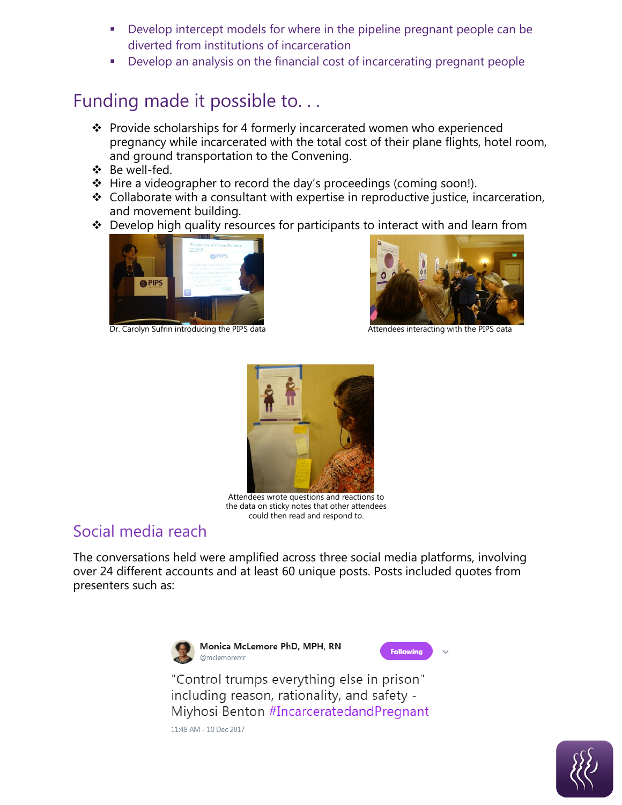- Develop intercept models for where in the pipeline pregnant people can be diverted from institutions of incarceration
- Develop an analysis on the financial cost of incarcerating pregnant people

## Funding made it possible to. . .

- $\cdot \cdot$  Provide scholarships for 4 formerly incarcerated women who experienced pregnancy while incarcerated with the total cost of their plane flights, hotel room, and ground transportation to the Convening.
- Be well-fed.
- $\div$  Hire a videographer to record the day's proceedings (coming soon!).
- $\cdot$  Collaborate with a consultant with expertise in reproductive justice, incarceration, and movement building.
- ❖ Develop high quality resources for participants to interact with and learn from



Dr. Carolyn Sufrin introducing the PIPS data Attendees interacting with the PIPS data





Attendees wrote questions and reactions to the data on sticky notes that other attendees could then read and respond to.

### Social media reach

The conversations held were amplified across three social media platforms, involving over 24 different accounts and at least 60 unique posts. Posts included quotes from presenters such as:



Monica McLemore PhD, MPH, RN @mclemoremr



"Control trumps everything else in prison" including reason, rationality, and safety -Miyhosi Benton #IncarceratedandPregnant

11:48 AM - 10 Dec 2017

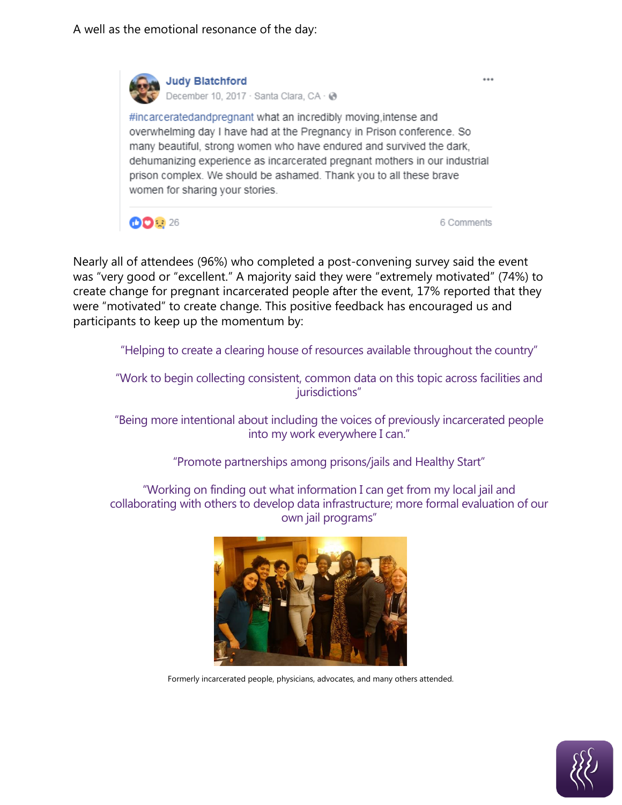**Judy Blatchford** 

December 10, 2017 · Santa Clara, CA · @ #incarceratedandpregnant what an incredibly moving, intense and overwhelming day I have had at the Pregnancy in Prison conference. So many beautiful, strong women who have endured and survived the dark, dehumanizing experience as incarcerated pregnant mothers in our industrial prison complex. We should be ashamed. Thank you to all these brave women for sharing your stories.

**DD**: 26

6 Comments

...

Nearly all of attendees (96%) who completed a post-convening survey said the event was "very good or "excellent." A majority said they were "extremely motivated" (74%) to create change for pregnant incarcerated people after the event, 17% reported that they were "motivated" to create change. This positive feedback has encouraged us and participants to keep up the momentum by:

"Helping to create a clearing house of resources available throughout the country"

"Work to begin collecting consistent, common data on this topic across facilities and jurisdictions"

"Being more intentional about including the voices of previously incarcerated people into my work everywhere I can."

"Promote partnerships among prisons/jails and Healthy Start"

"Working on finding out what information I can get from my local jail and collaborating with others to develop data infrastructure; more formal evaluation of our own jail programs"



Formerly incarcerated people, physicians, advocates, and many others attended.